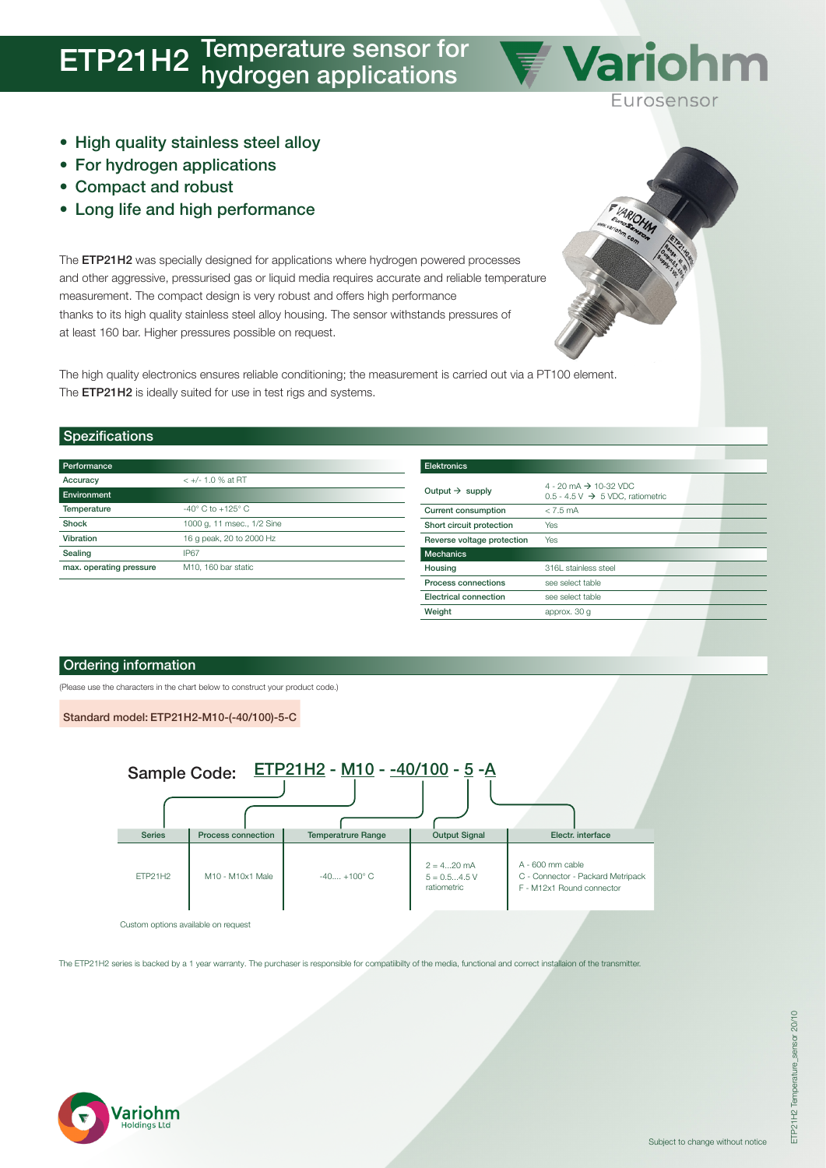## **ETP21H2** Temperature sensor for hydrogen applications

- High quality stainless steel alloy
- For hydrogen applications
- Compact and robust
- Long life and high performance

The ETP21H2 was specially designed for applications where hydrogen powered processes and other aggressive, pressurised gas or liquid media requires accurate and reliable temperature measurement. The compact design is very robust and offers high performance thanks to its high quality stainless steel alloy housing. The sensor withstands pressures of at least 160 bar. Higher pressures possible on request.

The high quality electronics ensures reliable conditioning; the measurement is carried out via a PT100 element. The ETP21H2 is ideally suited for use in test rigs and systems.

#### Spezifications

| Performance             |                                     |
|-------------------------|-------------------------------------|
| Accuracy                | $< +/- 1.0$ % at RT                 |
| Environment             |                                     |
| Temperature             | $-40^{\circ}$ C to $+125^{\circ}$ C |
| Shock                   | 1000 g, 11 msec., 1/2 Sine          |
| Vibration               | 16 g peak, 20 to 2000 Hz            |
| Sealing                 | <b>IP67</b>                         |
| max. operating pressure | M <sub>10</sub> . 160 bar static    |

| <b>Elektronics</b>          |                                                                                   |  |  |  |  |  |  |
|-----------------------------|-----------------------------------------------------------------------------------|--|--|--|--|--|--|
| Output $\rightarrow$ supply | 4 - 20 mA $\rightarrow$ 10-32 VDC<br>0.5 - 4.5 V $\rightarrow$ 5 VDC, ratiometric |  |  |  |  |  |  |
| <b>Current consumption</b>  | $< 7.5$ mA                                                                        |  |  |  |  |  |  |
| Short circuit protection    | Yes                                                                               |  |  |  |  |  |  |
| Reverse voltage protection  | Yes                                                                               |  |  |  |  |  |  |
| <b>Mechanics</b>            |                                                                                   |  |  |  |  |  |  |
| Housing                     | 316L stainless steel                                                              |  |  |  |  |  |  |
| Process connections         | see select table                                                                  |  |  |  |  |  |  |
| Electrical connection       | see select table                                                                  |  |  |  |  |  |  |
| Weight                      | approx. 30 g                                                                      |  |  |  |  |  |  |

**Variohm** 

Eurosensor

#### Ordering information

(Please use the characters in the chart below to construct your product code.)

Standard model: ETP21H2-M10-(-40/100)-5-C



The ETP21H2 series is backed by a 1 year warranty. The purchaser is responsible for compatiibilty of the media, functional and correct installaion of the transmitter.



ETP21H2 Temperature\_sensor 20/10

ETP21H2 Temperature\_sensor 20/10